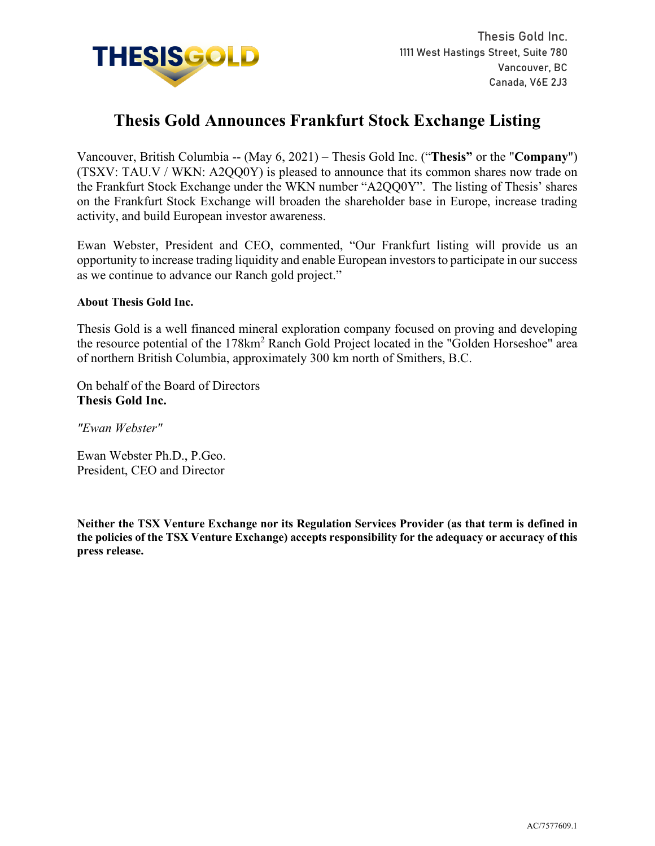

# **Thesis Gold Announces Frankfurt Stock Exchange Listing**

Vancouver, British Columbia -- (May 6, 2021) – Thesis Gold Inc. ("**Thesis"** or the "**Company**") (TSXV: TAU.V / WKN: A2QQ0Y) is pleased to announce that its common shares now trade on the Frankfurt Stock Exchange under the WKN number "A2QQ0Y". The listing of Thesis' shares on the Frankfurt Stock Exchange will broaden the shareholder base in Europe, increase trading activity, and build European investor awareness.

Ewan Webster, President and CEO, commented, "Our Frankfurt listing will provide us an opportunity to increase trading liquidity and enable European investors to participate in our success as we continue to advance our Ranch gold project."

## **About Thesis Gold Inc.**

Thesis Gold is a well financed mineral exploration company focused on proving and developing the resource potential of the 178km<sup>2</sup> Ranch Gold Project located in the "Golden Horseshoe" area of northern British Columbia, approximately 300 km north of Smithers, B.C.

On behalf of the Board of Directors **Thesis Gold Inc.**

*"Ewan Webster"*

Ewan Webster Ph.D., P.Geo. President, CEO and Director

**Neither the TSX Venture Exchange nor its Regulation Services Provider (as that term is defined in the policies of the TSX Venture Exchange) accepts responsibility for the adequacy or accuracy of this press release.**